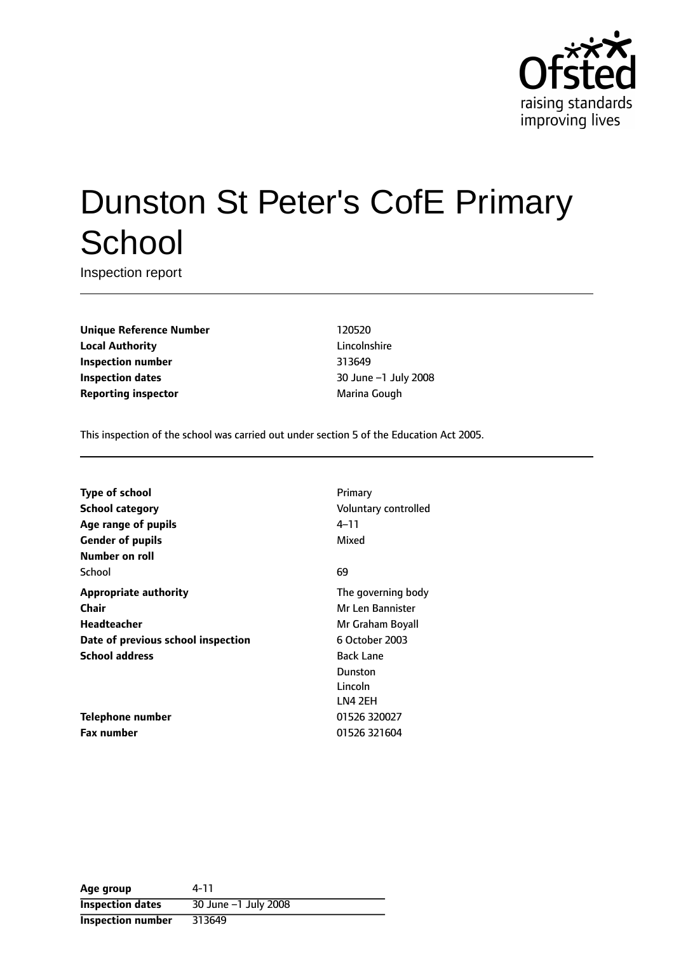

# Dunston St Peter's CofE Primary **School**

Inspection report

**Unique Reference Number** 120520 **Local Authority** Lincolnshire **Inspection number** 313649 **Inspection dates** 30 June -1 July 2008 **Reporting inspector and a reporting inspector Marina Gough** 

This inspection of the school was carried out under section 5 of the Education Act 2005.

**Type of school** Primary **School category CONSIDER SCHOOL CATEGORY** Voluntary controlled **Age** range of pupils **Age** *Pupils* 4-11 **Gender of pupils** Mixed **Number on roll** School 69 (1995) 1996 (1996) 1997 (1998) 1998 (1998) 1998 (1999) 1998 (1999) 1998 (1999) 1998 (1999) 1998 (199 **Appropriate authority** The governing body **Chair** Mr Len Bannister **Headteacher** Mr Graham Boyall **Date of previous school inspection** 6 October 2003 **School address** Back Lane

**Telephone number** 01526 320027 **Fax number** 01526 321604

Dunston Lincoln LN4 2EH

| Age group               | 4-11                                |
|-------------------------|-------------------------------------|
| <b>Inspection dates</b> | 30 June $-1$ July $\overline{2008}$ |
| Inspection number       | 313649                              |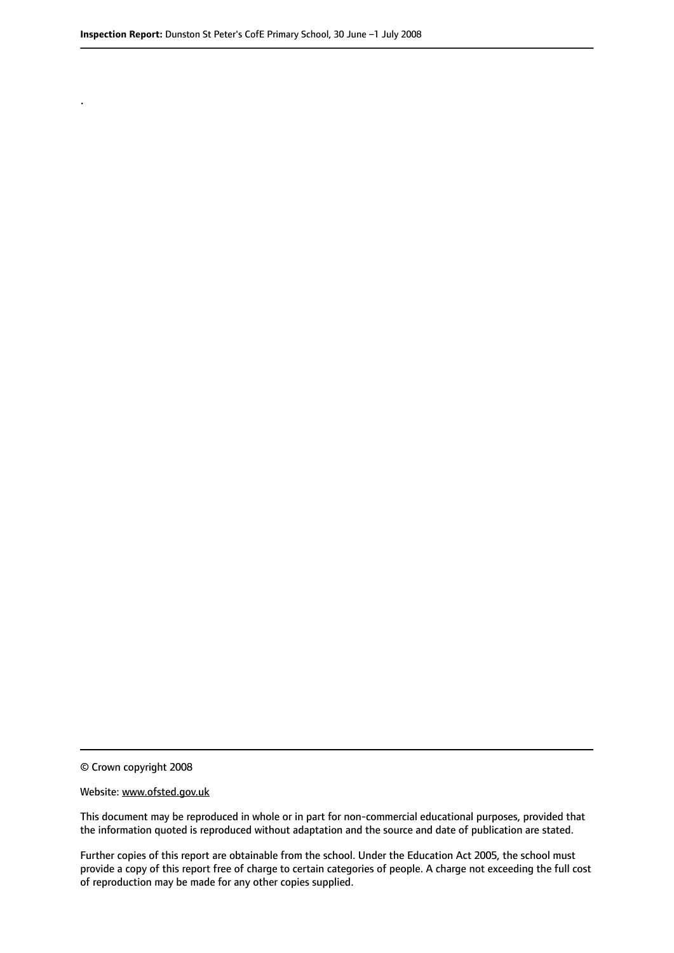.

© Crown copyright 2008

#### Website: www.ofsted.gov.uk

This document may be reproduced in whole or in part for non-commercial educational purposes, provided that the information quoted is reproduced without adaptation and the source and date of publication are stated.

Further copies of this report are obtainable from the school. Under the Education Act 2005, the school must provide a copy of this report free of charge to certain categories of people. A charge not exceeding the full cost of reproduction may be made for any other copies supplied.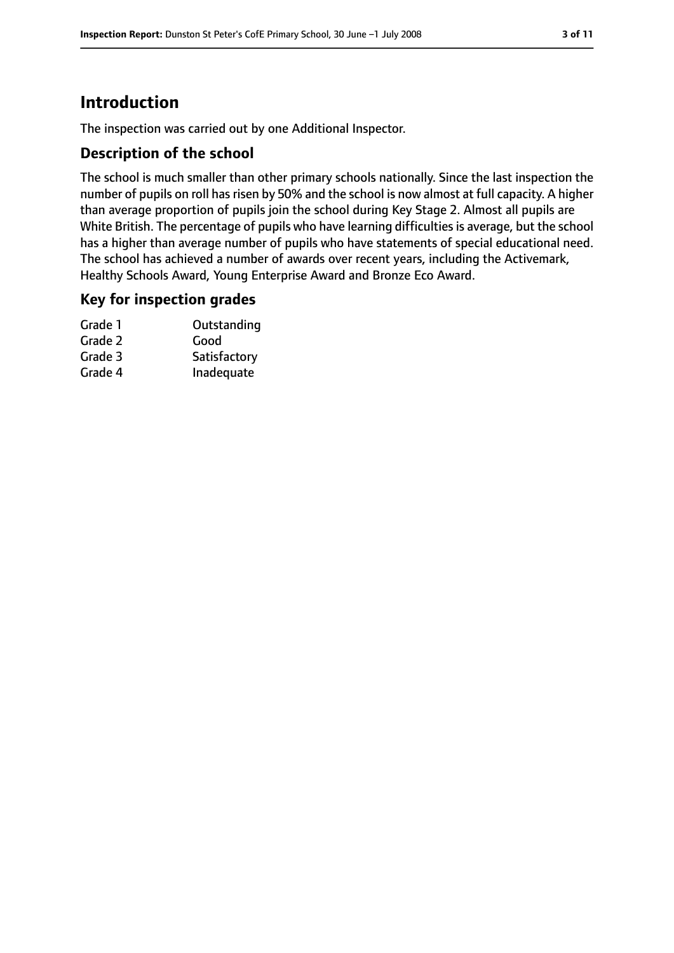# **Introduction**

The inspection was carried out by one Additional Inspector.

## **Description of the school**

The school is much smaller than other primary schools nationally. Since the last inspection the number of pupils on roll has risen by 50% and the school is now almost at full capacity. A higher than average proportion of pupils join the school during Key Stage 2. Almost all pupils are White British. The percentage of pupils who have learning difficulties is average, but the school has a higher than average number of pupils who have statements of special educational need. The school has achieved a number of awards over recent years, including the Activemark, Healthy Schools Award, Young Enterprise Award and Bronze Eco Award.

#### **Key for inspection grades**

| Grade 1 | Outstanding  |
|---------|--------------|
| Grade 2 | Good         |
| Grade 3 | Satisfactory |
| Grade 4 | Inadequate   |
|         |              |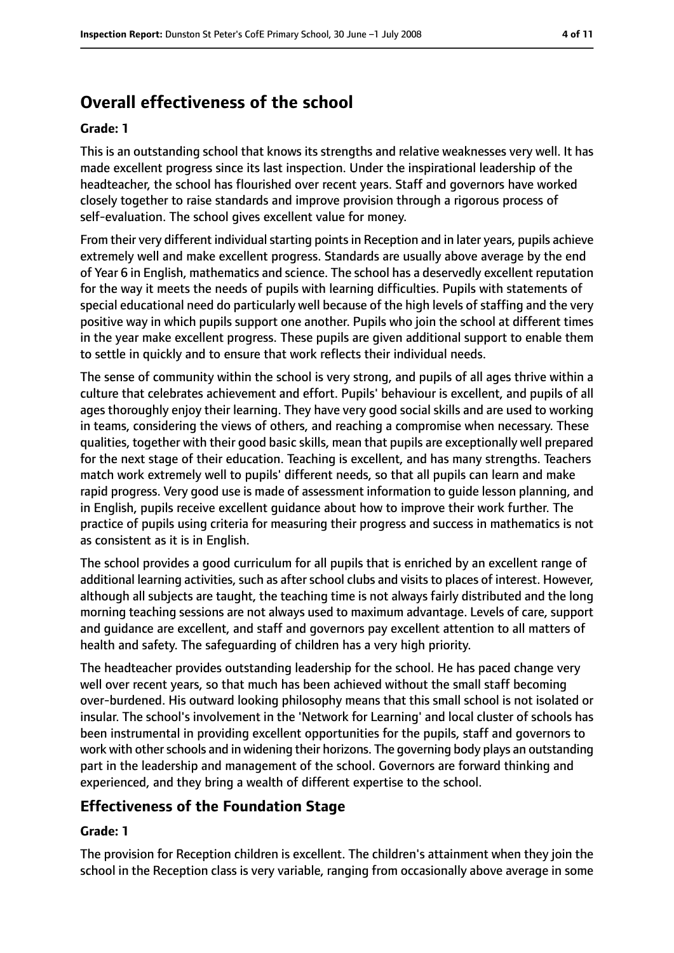# **Overall effectiveness of the school**

#### **Grade: 1**

This is an outstanding school that knows its strengths and relative weaknesses very well. It has made excellent progress since its last inspection. Under the inspirational leadership of the headteacher, the school has flourished over recent years. Staff and governors have worked closely together to raise standards and improve provision through a rigorous process of self-evaluation. The school gives excellent value for money.

From their very different individual starting points in Reception and in later years, pupils achieve extremely well and make excellent progress. Standards are usually above average by the end of Year 6 in English, mathematics and science. The school has a deservedly excellent reputation for the way it meets the needs of pupils with learning difficulties. Pupils with statements of special educational need do particularly well because of the high levels of staffing and the very positive way in which pupils support one another. Pupils who join the school at different times in the year make excellent progress. These pupils are given additional support to enable them to settle in quickly and to ensure that work reflects their individual needs.

The sense of community within the school is very strong, and pupils of all ages thrive within a culture that celebrates achievement and effort. Pupils' behaviour is excellent, and pupils of all ages thoroughly enjoy their learning. They have very good social skills and are used to working in teams, considering the views of others, and reaching a compromise when necessary. These qualities, together with their good basic skills, mean that pupils are exceptionally well prepared for the next stage of their education. Teaching is excellent, and has many strengths. Teachers match work extremely well to pupils' different needs, so that all pupils can learn and make rapid progress. Very good use is made of assessment information to guide lesson planning, and in English, pupils receive excellent guidance about how to improve their work further. The practice of pupils using criteria for measuring their progress and success in mathematics is not as consistent as it is in English.

The school provides a good curriculum for all pupils that is enriched by an excellent range of additional learning activities, such as after school clubs and visits to places of interest. However, although all subjects are taught, the teaching time is not always fairly distributed and the long morning teaching sessions are not always used to maximum advantage. Levels of care, support and guidance are excellent, and staff and governors pay excellent attention to all matters of health and safety. The safeguarding of children has a very high priority.

The headteacher provides outstanding leadership for the school. He has paced change very well over recent years, so that much has been achieved without the small staff becoming over-burdened. His outward looking philosophy means that this small school is not isolated or insular. The school's involvement in the 'Network for Learning' and local cluster of schools has been instrumental in providing excellent opportunities for the pupils, staff and governors to work with other schools and in widening their horizons. The governing body plays an outstanding part in the leadership and management of the school. Governors are forward thinking and experienced, and they bring a wealth of different expertise to the school.

## **Effectiveness of the Foundation Stage**

#### **Grade: 1**

The provision for Reception children is excellent. The children's attainment when they join the school in the Reception class is very variable, ranging from occasionally above average in some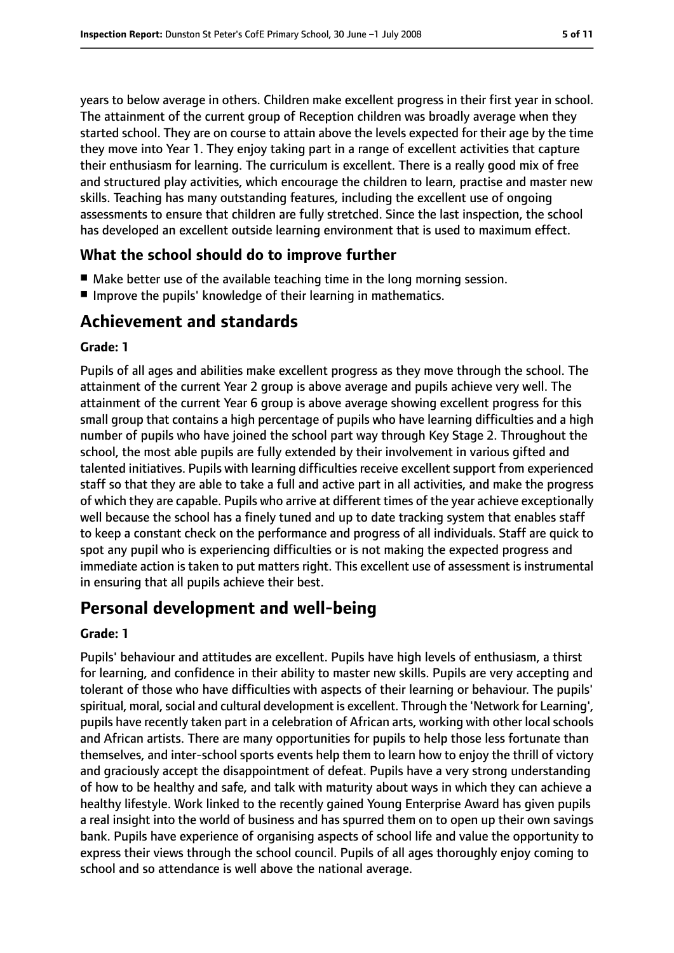years to below average in others. Children make excellent progress in their first year in school. The attainment of the current group of Reception children was broadly average when they started school. They are on course to attain above the levels expected for their age by the time they move into Year 1. They enjoy taking part in a range of excellent activities that capture their enthusiasm for learning. The curriculum is excellent. There is a really good mix of free and structured play activities, which encourage the children to learn, practise and master new skills. Teaching has many outstanding features, including the excellent use of ongoing assessments to ensure that children are fully stretched. Since the last inspection, the school has developed an excellent outside learning environment that is used to maximum effect.

## **What the school should do to improve further**

- Make better use of the available teaching time in the long morning session.
- Improve the pupils' knowledge of their learning in mathematics.

# **Achievement and standards**

#### **Grade: 1**

Pupils of all ages and abilities make excellent progress as they move through the school. The attainment of the current Year 2 group is above average and pupils achieve very well. The attainment of the current Year 6 group is above average showing excellent progress for this small group that contains a high percentage of pupils who have learning difficulties and a high number of pupils who have joined the school part way through Key Stage 2. Throughout the school, the most able pupils are fully extended by their involvement in various gifted and talented initiatives. Pupils with learning difficulties receive excellent support from experienced staff so that they are able to take a full and active part in all activities, and make the progress of which they are capable. Pupils who arrive at different times of the year achieve exceptionally well because the school has a finely tuned and up to date tracking system that enables staff to keep a constant check on the performance and progress of all individuals. Staff are quick to spot any pupil who is experiencing difficulties or is not making the expected progress and immediate action is taken to put matters right. This excellent use of assessment is instrumental in ensuring that all pupils achieve their best.

# **Personal development and well-being**

#### **Grade: 1**

Pupils' behaviour and attitudes are excellent. Pupils have high levels of enthusiasm, a thirst for learning, and confidence in their ability to master new skills. Pupils are very accepting and tolerant of those who have difficulties with aspects of their learning or behaviour. The pupils' spiritual, moral, social and cultural development is excellent. Through the 'Network for Learning', pupils have recently taken part in a celebration of African arts, working with other local schools and African artists. There are many opportunities for pupils to help those less fortunate than themselves, and inter-school sports events help them to learn how to enjoy the thrill of victory and graciously accept the disappointment of defeat. Pupils have a very strong understanding of how to be healthy and safe, and talk with maturity about ways in which they can achieve a healthy lifestyle. Work linked to the recently gained Young Enterprise Award has given pupils a real insight into the world of business and has spurred them on to open up their own savings bank. Pupils have experience of organising aspects of school life and value the opportunity to express their views through the school council. Pupils of all ages thoroughly enjoy coming to school and so attendance is well above the national average.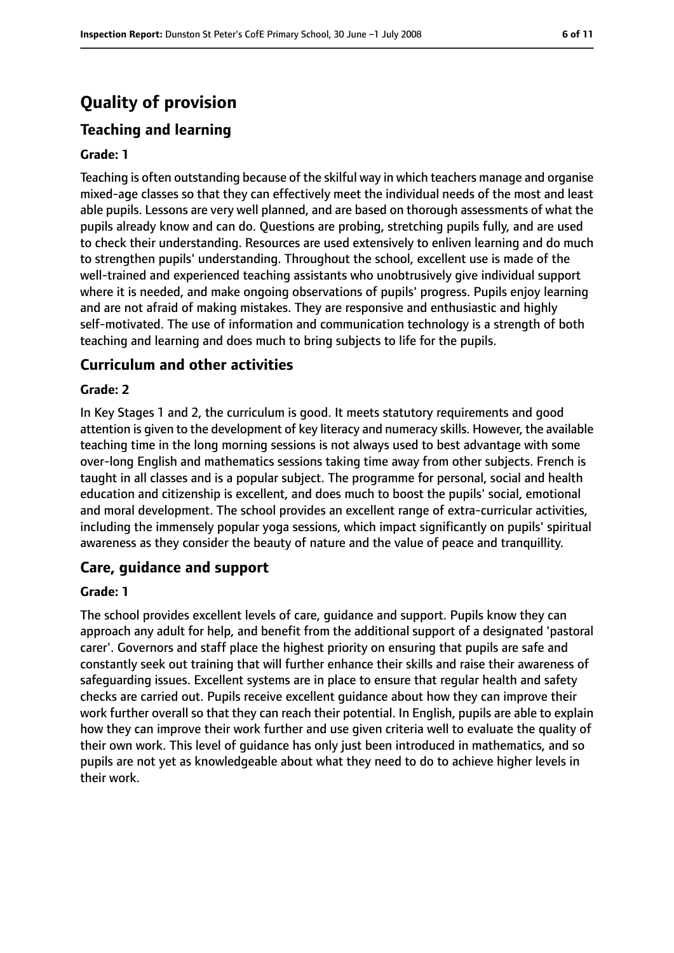# **Quality of provision**

# **Teaching and learning**

#### **Grade: 1**

Teaching is often outstanding because of the skilful way in which teachers manage and organise mixed-age classes so that they can effectively meet the individual needs of the most and least able pupils. Lessons are very well planned, and are based on thorough assessments of what the pupils already know and can do. Questions are probing, stretching pupils fully, and are used to check their understanding. Resources are used extensively to enliven learning and do much to strengthen pupils' understanding. Throughout the school, excellent use is made of the well-trained and experienced teaching assistants who unobtrusively give individual support where it is needed, and make ongoing observations of pupils' progress. Pupils enjoy learning and are not afraid of making mistakes. They are responsive and enthusiastic and highly self-motivated. The use of information and communication technology is a strength of both teaching and learning and does much to bring subjects to life for the pupils.

#### **Curriculum and other activities**

#### **Grade: 2**

In Key Stages 1 and 2, the curriculum is good. It meets statutory requirements and good attention is given to the development of key literacy and numeracy skills. However, the available teaching time in the long morning sessions is not always used to best advantage with some over-long English and mathematics sessions taking time away from other subjects. French is taught in all classes and is a popular subject. The programme for personal, social and health education and citizenship is excellent, and does much to boost the pupils' social, emotional and moral development. The school provides an excellent range of extra-curricular activities, including the immensely popular yoga sessions, which impact significantly on pupils' spiritual awareness as they consider the beauty of nature and the value of peace and tranquillity.

#### **Care, guidance and support**

#### **Grade: 1**

The school provides excellent levels of care, guidance and support. Pupils know they can approach any adult for help, and benefit from the additional support of a designated 'pastoral carer'. Governors and staff place the highest priority on ensuring that pupils are safe and constantly seek out training that will further enhance their skills and raise their awareness of safeguarding issues. Excellent systems are in place to ensure that regular health and safety checks are carried out. Pupils receive excellent guidance about how they can improve their work further overall so that they can reach their potential. In English, pupils are able to explain how they can improve their work further and use given criteria well to evaluate the quality of their own work. This level of guidance has only just been introduced in mathematics, and so pupils are not yet as knowledgeable about what they need to do to achieve higher levels in their work.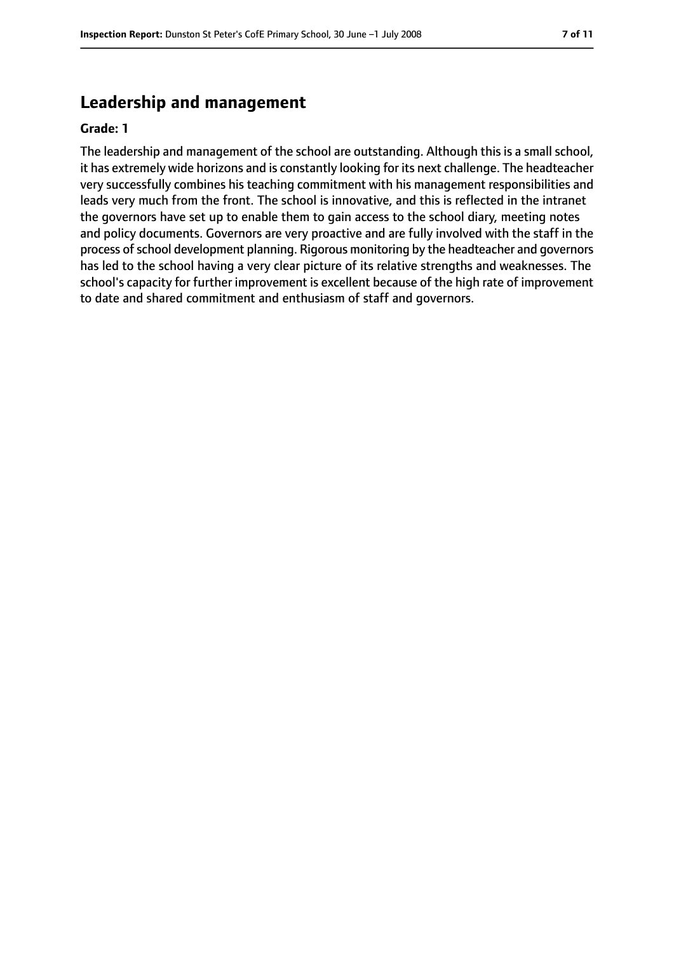# **Leadership and management**

#### **Grade: 1**

The leadership and management of the school are outstanding. Although this is a small school, it has extremely wide horizons and is constantly looking for its next challenge. The headteacher very successfully combines his teaching commitment with his management responsibilities and leads very much from the front. The school is innovative, and this is reflected in the intranet the governors have set up to enable them to gain access to the school diary, meeting notes and policy documents. Governors are very proactive and are fully involved with the staff in the process of school development planning. Rigorous monitoring by the headteacher and governors has led to the school having a very clear picture of its relative strengths and weaknesses. The school's capacity for further improvement is excellent because of the high rate of improvement to date and shared commitment and enthusiasm of staff and governors.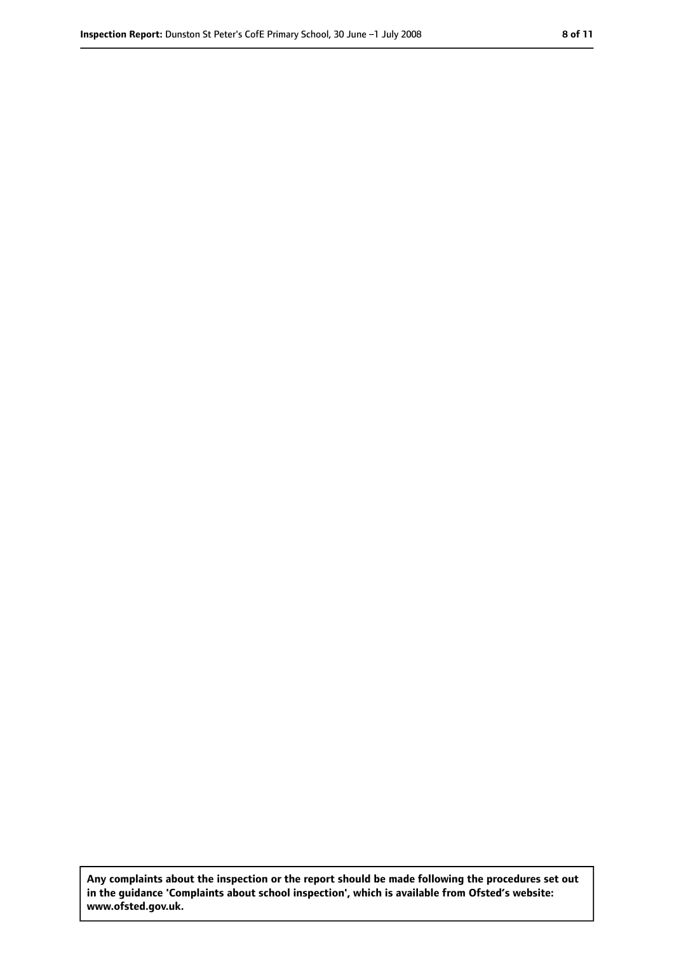**Any complaints about the inspection or the report should be made following the procedures set out in the guidance 'Complaints about school inspection', which is available from Ofsted's website: www.ofsted.gov.uk.**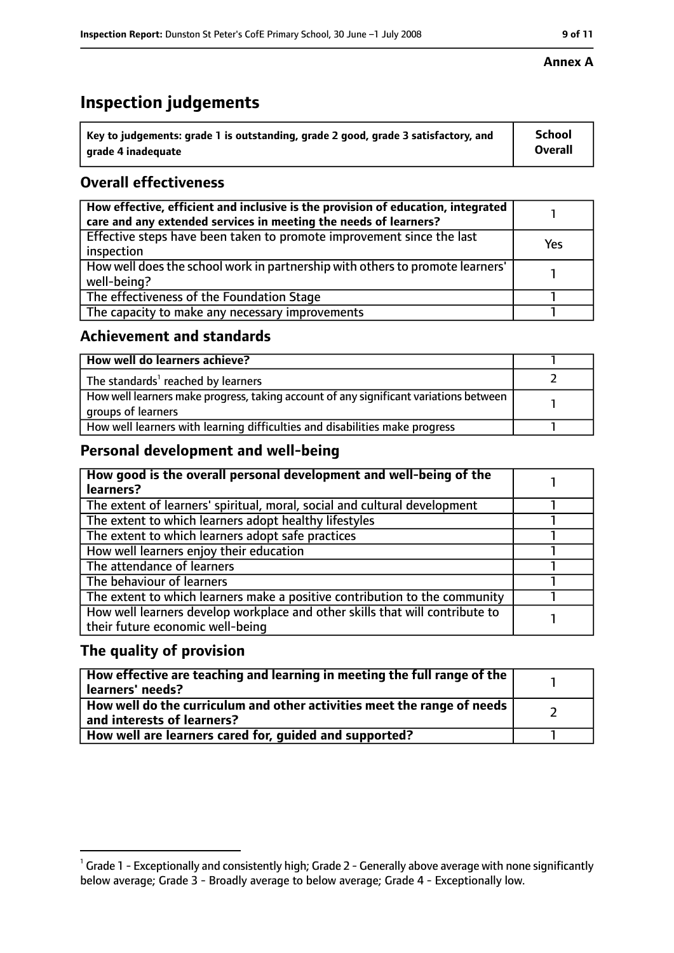# **Inspection judgements**

| $\dot{ }$ Key to judgements: grade 1 is outstanding, grade 2 good, grade 3 satisfactory, and | School         |
|----------------------------------------------------------------------------------------------|----------------|
| arade 4 inadequate                                                                           | <b>Overall</b> |

# **Overall effectiveness**

| How effective, efficient and inclusive is the provision of education, integrated<br>care and any extended services in meeting the needs of learners? |     |
|------------------------------------------------------------------------------------------------------------------------------------------------------|-----|
| Effective steps have been taken to promote improvement since the last<br>inspection                                                                  | Yes |
| How well does the school work in partnership with others to promote learners'<br>well-being?                                                         |     |
| The effectiveness of the Foundation Stage                                                                                                            |     |
| The capacity to make any necessary improvements                                                                                                      |     |

## **Achievement and standards**

| How well do learners achieve?                                                                               |  |
|-------------------------------------------------------------------------------------------------------------|--|
| The standards <sup>1</sup> reached by learners                                                              |  |
| How well learners make progress, taking account of any significant variations between<br>groups of learners |  |
| How well learners with learning difficulties and disabilities make progress                                 |  |

## **Personal development and well-being**

| How good is the overall personal development and well-being of the<br>learners?                                  |  |
|------------------------------------------------------------------------------------------------------------------|--|
| The extent of learners' spiritual, moral, social and cultural development                                        |  |
| The extent to which learners adopt healthy lifestyles                                                            |  |
| The extent to which learners adopt safe practices                                                                |  |
| How well learners enjoy their education                                                                          |  |
| The attendance of learners                                                                                       |  |
| The behaviour of learners                                                                                        |  |
| The extent to which learners make a positive contribution to the community                                       |  |
| How well learners develop workplace and other skills that will contribute to<br>their future economic well-being |  |

## **The quality of provision**

| How effective are teaching and learning in meeting the full range of the<br>learners' needs?          |  |
|-------------------------------------------------------------------------------------------------------|--|
| How well do the curriculum and other activities meet the range of needs<br>and interests of learners? |  |
| How well are learners cared for, quided and supported?                                                |  |

 $^1$  Grade 1 - Exceptionally and consistently high; Grade 2 - Generally above average with none significantly below average; Grade 3 - Broadly average to below average; Grade 4 - Exceptionally low.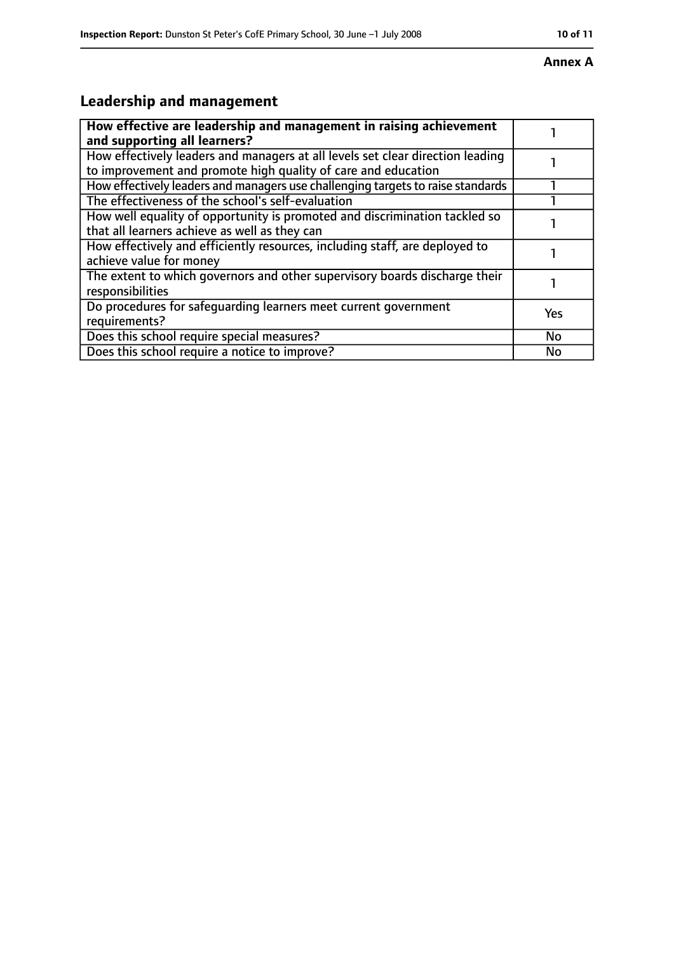#### **Annex A**

# **Leadership and management**

| How effective are leadership and management in raising achievement<br>and supporting all learners?                                              |           |
|-------------------------------------------------------------------------------------------------------------------------------------------------|-----------|
| How effectively leaders and managers at all levels set clear direction leading<br>to improvement and promote high quality of care and education |           |
| How effectively leaders and managers use challenging targets to raise standards                                                                 |           |
| The effectiveness of the school's self-evaluation                                                                                               |           |
| How well equality of opportunity is promoted and discrimination tackled so<br>that all learners achieve as well as they can                     |           |
| How effectively and efficiently resources, including staff, are deployed to<br>achieve value for money                                          |           |
| The extent to which governors and other supervisory boards discharge their<br>responsibilities                                                  |           |
| Do procedures for safequarding learners meet current government<br>requirements?                                                                | Yes       |
| Does this school require special measures?                                                                                                      | <b>No</b> |
| Does this school require a notice to improve?                                                                                                   | No        |